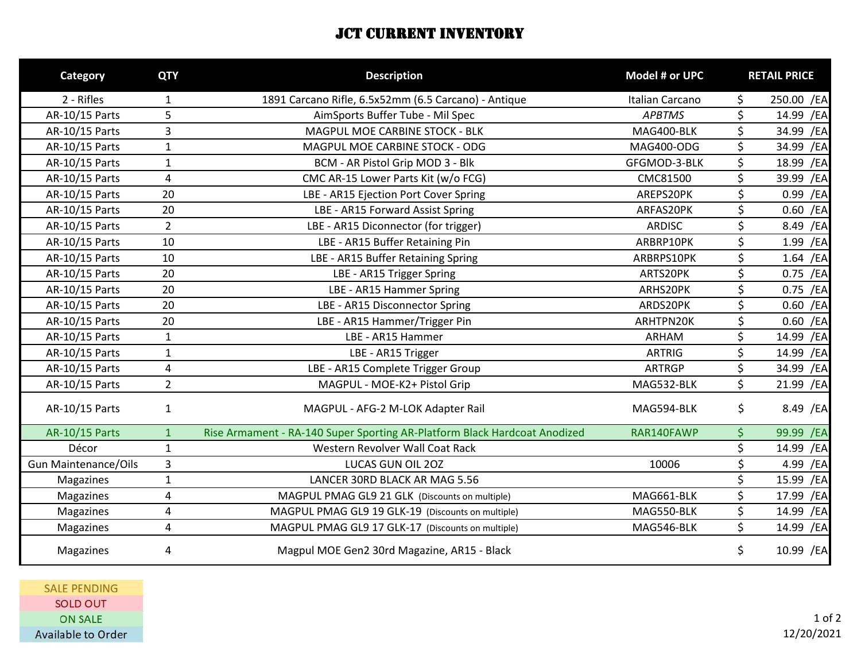## **JCT CURRENT INVENTORY**

| Category                    | <b>QTY</b>     | <b>Description</b>                                                        | Model # or UPC  | <b>RETAIL PRICE</b> |
|-----------------------------|----------------|---------------------------------------------------------------------------|-----------------|---------------------|
| 2 - Rifles                  | $\mathbf{1}$   | 1891 Carcano Rifle, 6.5x52mm (6.5 Carcano) - Antique                      | Italian Carcano | \$<br>250.00 /EA    |
| AR-10/15 Parts              | 5              | AimSports Buffer Tube - Mil Spec                                          | <b>APBTMS</b>   | \$<br>14.99 /EA     |
| AR-10/15 Parts              | $\overline{3}$ | MAGPUL MOE CARBINE STOCK - BLK                                            | MAG400-BLK      | \$<br>34.99 /EA     |
| AR-10/15 Parts              | $\mathbf{1}$   | MAGPUL MOE CARBINE STOCK - ODG                                            | MAG400-ODG      | \$<br>34.99 /EA     |
| AR-10/15 Parts              | $\mathbf{1}$   | BCM - AR Pistol Grip MOD 3 - Blk                                          | GFGMOD-3-BLK    | \$<br>18.99 /EA     |
| AR-10/15 Parts              | 4              | CMC AR-15 Lower Parts Kit (w/o FCG)                                       | CMC81500        | \$<br>39.99 /EA     |
| AR-10/15 Parts              | 20             | LBE - AR15 Ejection Port Cover Spring                                     | AREPS20PK       | \$<br>0.99 /EA      |
| AR-10/15 Parts              | 20             | LBE - AR15 Forward Assist Spring                                          | ARFAS20PK       | \$<br>$0.60$ /EA    |
| AR-10/15 Parts              | $\overline{2}$ | LBE - AR15 Diconnector (for trigger)                                      | <b>ARDISC</b>   | \$<br>8.49 / EA     |
| AR-10/15 Parts              | 10             | LBE - AR15 Buffer Retaining Pin                                           | ARBRP10PK       | \$<br>1.99 /EA      |
| AR-10/15 Parts              | 10             | LBE - AR15 Buffer Retaining Spring                                        | ARBRPS10PK      | \$<br>$1.64$ /EA    |
| AR-10/15 Parts              | 20             | LBE - AR15 Trigger Spring                                                 | ARTS20PK        | \$<br>0.75 /EA      |
| AR-10/15 Parts              | 20             | LBE - AR15 Hammer Spring                                                  | ARHS20PK        | \$<br>0.75 /EA      |
| AR-10/15 Parts              | 20             | LBE - AR15 Disconnector Spring                                            | ARDS20PK        | \$<br>$0.60$ /EA    |
| AR-10/15 Parts              | 20             | LBE - AR15 Hammer/Trigger Pin                                             | ARHTPN20K       | \$<br>$0.60$ /EA    |
| AR-10/15 Parts              | $\mathbf{1}$   | LBE - AR15 Hammer                                                         | <b>ARHAM</b>    | \$<br>14.99 /EA     |
| AR-10/15 Parts              | $\mathbf{1}$   | LBE - AR15 Trigger                                                        | <b>ARTRIG</b>   | \$<br>14.99 /EA     |
| AR-10/15 Parts              | $\overline{4}$ | LBE - AR15 Complete Trigger Group                                         | <b>ARTRGP</b>   | \$<br>34.99 /EA     |
| AR-10/15 Parts              | $\overline{2}$ | MAGPUL - MOE-K2+ Pistol Grip                                              | MAG532-BLK      | \$<br>21.99 /EA     |
| AR-10/15 Parts              | $\mathbf{1}$   | MAGPUL - AFG-2 M-LOK Adapter Rail                                         | MAG594-BLK      | \$<br>8.49 /EA      |
| <b>AR-10/15 Parts</b>       | $\mathbf{1}$   | Rise Armament - RA-140 Super Sporting AR-Platform Black Hardcoat Anodized | RAR140FAWP      | \$<br>99.99 /EA     |
| Décor                       | $\mathbf{1}$   | Western Revolver Wall Coat Rack                                           |                 | \$<br>14.99 /EA     |
| <b>Gun Maintenance/Oils</b> | $\overline{3}$ | LUCAS GUN OIL 20Z                                                         | 10006           | \$<br>4.99 /EA      |
| Magazines                   | $\mathbf{1}$   | LANCER 30RD BLACK AR MAG 5.56                                             |                 | \$<br>15.99 /EA     |
| Magazines                   | $\overline{4}$ | MAGPUL PMAG GL9 21 GLK (Discounts on multiple)                            | MAG661-BLK      | \$<br>17.99 /EA     |
| Magazines                   | 4              | MAGPUL PMAG GL9 19 GLK-19 (Discounts on multiple)                         | MAG550-BLK      | \$<br>14.99 /EA     |
| Magazines                   | $\overline{4}$ | MAGPUL PMAG GL9 17 GLK-17 (Discounts on multiple)                         | MAG546-BLK      | \$<br>14.99 /EA     |
| Magazines                   | 4              | Magpul MOE Gen2 30rd Magazine, AR15 - Black                               |                 | \$<br>10.99 /EA     |

**SALE PENDING** SOLD OUT ON SALE Available to Order